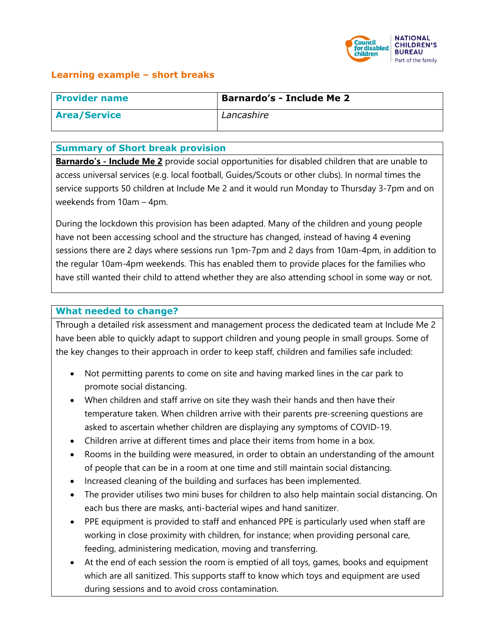

## **Learning example – short breaks**

| <b>Provider name</b> | <b>Barnardo's - Include Me 2</b> |
|----------------------|----------------------------------|
| <b>Area/Service</b>  | Lancashire                       |

#### **Summary of Short break provision**

**Barnardo's - Include Me 2** provide social opportunities for disabled children that are unable to access universal services (e.g. local football, Guides/Scouts or other clubs). In normal times the service supports 50 children at Include Me 2 and it would run Monday to Thursday 3-7pm and on weekends from 10am – 4pm.

During the lockdown this provision has been adapted. Many of the children and young people have not been accessing school and the structure has changed, instead of having 4 evening sessions there are 2 days where sessions run 1pm-7pm and 2 days from 10am-4pm, in addition to the regular 10am-4pm weekends. This has enabled them to provide places for the families who have still wanted their child to attend whether they are also attending school in some way or not.

### **What needed to change?**

Through a detailed risk assessment and management process the dedicated team at Include Me 2 have been able to quickly adapt to support children and young people in small groups. Some of the key changes to their approach in order to keep staff, children and families safe included:

- Not permitting parents to come on site and having marked lines in the car park to promote social distancing.
- When children and staff arrive on site they wash their hands and then have their temperature taken. When children arrive with their parents pre-screening questions are asked to ascertain whether children are displaying any symptoms of COVID-19.
- Children arrive at different times and place their items from home in a box.
- Rooms in the building were measured, in order to obtain an understanding of the amount of people that can be in a room at one time and still maintain social distancing.
- Increased cleaning of the building and surfaces has been implemented.
- The provider utilises two mini buses for children to also help maintain social distancing. On each bus there are masks, anti-bacterial wipes and hand sanitizer.
- PPE equipment is provided to staff and enhanced PPE is particularly used when staff are working in close proximity with children, for instance; when providing personal care, feeding, administering medication, moving and transferring.
- At the end of each session the room is emptied of all toys, games, books and equipment which are all sanitized. This supports staff to know which toys and equipment are used during sessions and to avoid cross contamination.